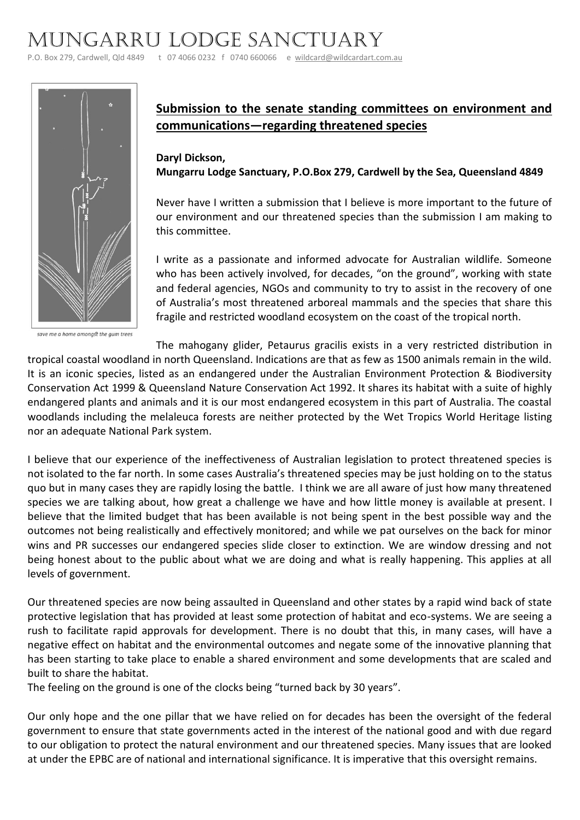## Mungarru Lodge Sanctuary

P.O. Box 279, Cardwell, Qld 4849 t 07 4066 0232 f 0740 660066 e [wildcard@wildcardart.com.au](mailto:wildcard@wildcardart.com.au)



save me a home amongst the gum trees

## **Submission to the senate standing committees on environment and communications—regarding threatened species**

**Daryl Dickson, Mungarru Lodge Sanctuary, P.O.Box 279, Cardwell by the Sea, Queensland 4849**

Never have I written a submission that I believe is more important to the future of our environment and our threatened species than the submission I am making to this committee.

I write as a passionate and informed advocate for Australian wildlife. Someone who has been actively involved, for decades, "on the ground", working with state and federal agencies, NGOs and community to try to assist in the recovery of one of Australia's most threatened arboreal mammals and the species that share this fragile and restricted woodland ecosystem on the coast of the tropical north.

The mahogany glider, Petaurus gracilis exists in a very restricted distribution in tropical coastal woodland in north Queensland. Indications are that as few as 1500 animals remain in the wild. It is an iconic species, listed as an endangered under the Australian Environment Protection & Biodiversity Conservation Act 1999 & Queensland Nature Conservation Act 1992. It shares its habitat with a suite of highly endangered plants and animals and it is our most endangered ecosystem in this part of Australia. The coastal woodlands including the melaleuca forests are neither protected by the Wet Tropics World Heritage listing nor an adequate National Park system.

I believe that our experience of the ineffectiveness of Australian legislation to protect threatened species is not isolated to the far north. In some cases Australia's threatened species may be just holding on to the status quo but in many cases they are rapidly losing the battle. I think we are all aware of just how many threatened species we are talking about, how great a challenge we have and how little money is available at present. I believe that the limited budget that has been available is not being spent in the best possible way and the outcomes not being realistically and effectively monitored; and while we pat ourselves on the back for minor wins and PR successes our endangered species slide closer to extinction. We are window dressing and not being honest about to the public about what we are doing and what is really happening. This applies at all levels of government.

Our threatened species are now being assaulted in Queensland and other states by a rapid wind back of state protective legislation that has provided at least some protection of habitat and eco-systems. We are seeing a rush to facilitate rapid approvals for development. There is no doubt that this, in many cases, will have a negative effect on habitat and the environmental outcomes and negate some of the innovative planning that has been starting to take place to enable a shared environment and some developments that are scaled and built to share the habitat.

The feeling on the ground is one of the clocks being "turned back by 30 years".

Our only hope and the one pillar that we have relied on for decades has been the oversight of the federal government to ensure that state governments acted in the interest of the national good and with due regard to our obligation to protect the natural environment and our threatened species. Many issues that are looked at under the EPBC are of national and international significance. It is imperative that this oversight remains.